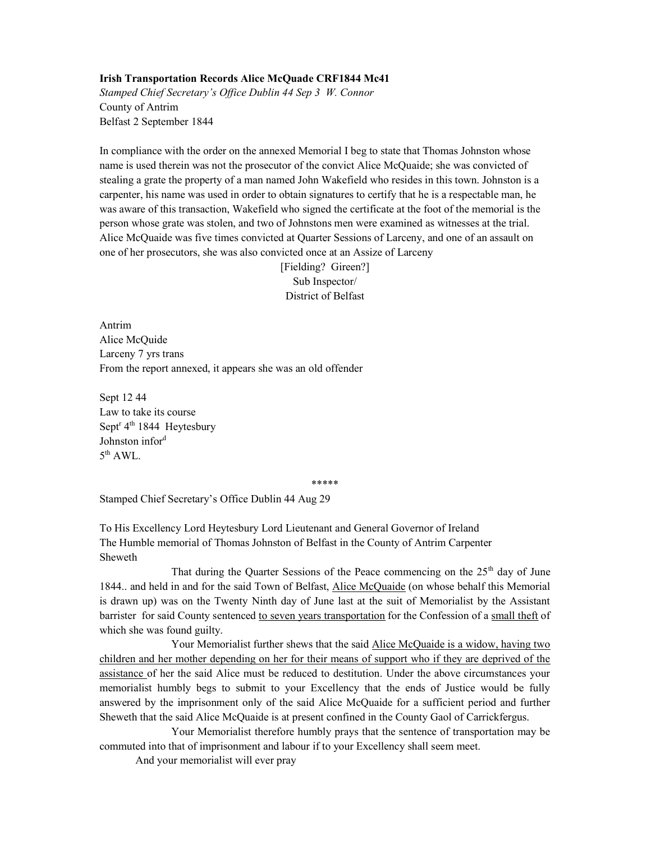## Irish Transportation Records Alice McQuade CRF1844 Mc41

Stamped Chief Secretary's Office Dublin 44 Sep 3 W. Connor County of Antrim Belfast 2 September 1844

In compliance with the order on the annexed Memorial I beg to state that Thomas Johnston whose name is used therein was not the prosecutor of the convict Alice McQuaide; she was convicted of stealing a grate the property of a man named John Wakefield who resides in this town. Johnston is a carpenter, his name was used in order to obtain signatures to certify that he is a respectable man, he was aware of this transaction, Wakefield who signed the certificate at the foot of the memorial is the person whose grate was stolen, and two of Johnstons men were examined as witnesses at the trial. Alice McQuaide was five times convicted at Quarter Sessions of Larceny, and one of an assault on one of her prosecutors, she was also convicted once at an Assize of Larceny

> [Fielding? Gireen?] Sub Inspector/ District of Belfast

Antrim Alice McQuide Larceny 7 yrs trans From the report annexed, it appears she was an old offender

Sept 12 44 Law to take its course Sept<sup>r</sup> 4<sup>th</sup> 1844 Heytesbury Johnston infor<sup>d</sup>  $5^{\text{th}}$  AWL.

\*\*\*\*\*

Stamped Chief Secretary's Office Dublin 44 Aug 29

To His Excellency Lord Heytesbury Lord Lieutenant and General Governor of Ireland The Humble memorial of Thomas Johnston of Belfast in the County of Antrim Carpenter Sheweth

That during the Quarter Sessions of the Peace commencing on the  $25<sup>th</sup>$  day of June 1844.. and held in and for the said Town of Belfast, Alice McQuaide (on whose behalf this Memorial is drawn up) was on the Twenty Ninth day of June last at the suit of Memorialist by the Assistant barrister for said County sentenced to seven years transportation for the Confession of a small theft of which she was found guilty.

 Your Memorialist further shews that the said Alice McQuaide is a widow, having two children and her mother depending on her for their means of support who if they are deprived of the assistance of her the said Alice must be reduced to destitution. Under the above circumstances your memorialist humbly begs to submit to your Excellency that the ends of Justice would be fully answered by the imprisonment only of the said Alice McQuaide for a sufficient period and further Sheweth that the said Alice McQuaide is at present confined in the County Gaol of Carrickfergus.

 Your Memorialist therefore humbly prays that the sentence of transportation may be commuted into that of imprisonment and labour if to your Excellency shall seem meet.

And your memorialist will ever pray